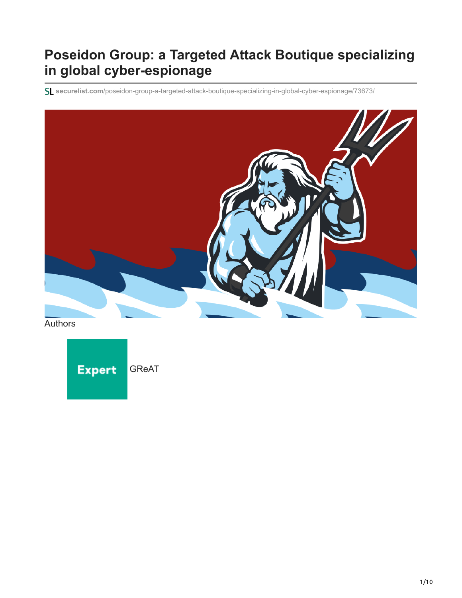## **Poseidon Group: a Targeted Attack Boutique specializing in global cyber-espionage**

**securelist.com**[/poseidon-group-a-targeted-attack-boutique-specializing-in-global-cyber-espionage/73673/](https://securelist.com/poseidon-group-a-targeted-attack-boutique-specializing-in-global-cyber-espionage/73673/)



Authors

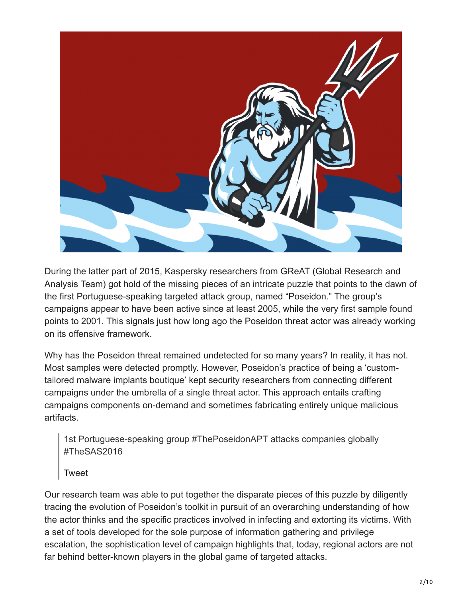

During the latter part of 2015, Kaspersky researchers from GReAT (Global Research and Analysis Team) got hold of the missing pieces of an intricate puzzle that points to the dawn of the first Portuguese-speaking targeted attack group, named "Poseidon." The group's campaigns appear to have been active since at least 2005, while the very first sample found points to 2001. This signals just how long ago the Poseidon threat actor was already working on its offensive framework.

Why has the Poseidon threat remained undetected for so many years? In reality, it has not. Most samples were detected promptly. However, Poseidon's practice of being a 'customtailored malware implants boutique' kept security researchers from connecting different campaigns under the umbrella of a single threat actor. This approach entails crafting campaigns components on-demand and sometimes fabricating entirely unique malicious artifacts.

1st Portuguese-speaking group #ThePoseidonAPT attacks companies globally #TheSAS2016

**[Tweet](https://twitter.com/share?url=https%3A%2F%2Fsecurelist.com%2Fposeidon-group-a-targeted-attack-boutique-specializing-in-global-cyber-espionage%2F73673%2F&text=1st+Portuguese-speaking+group+%23ThePoseidonAPT+attacks+companies+globally+%23TheSAS2016)** 

Our research team was able to put together the disparate pieces of this puzzle by diligently tracing the evolution of Poseidon's toolkit in pursuit of an overarching understanding of how the actor thinks and the specific practices involved in infecting and extorting its victims. With a set of tools developed for the sole purpose of information gathering and privilege escalation, the sophistication level of campaign highlights that, today, regional actors are not far behind better-known players in the global game of targeted attacks.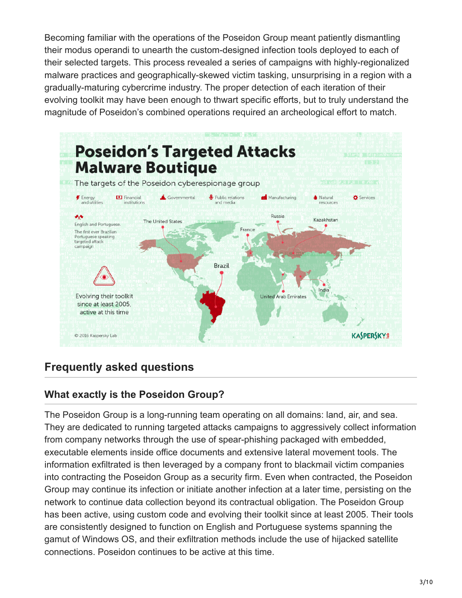Becoming familiar with the operations of the Poseidon Group meant patiently dismantling their modus operandi to unearth the custom-designed infection tools deployed to each of their selected targets. This process revealed a series of campaigns with highly-regionalized malware practices and geographically-skewed victim tasking, unsurprising in a region with a gradually-maturing cybercrime industry. The proper detection of each iteration of their evolving toolkit may have been enough to thwart specific efforts, but to truly understand the magnitude of Poseidon's combined operations required an archeological effort to match.



### **Frequently asked questions**

#### **What exactly is the Poseidon Group?**

The Poseidon Group is a long-running team operating on all domains: land, air, and sea. They are dedicated to running targeted attacks campaigns to aggressively collect information from company networks through the use of spear-phishing packaged with embedded, executable elements inside office documents and extensive lateral movement tools. The information exfiltrated is then leveraged by a company front to blackmail victim companies into contracting the Poseidon Group as a security firm. Even when contracted, the Poseidon Group may continue its infection or initiate another infection at a later time, persisting on the network to continue data collection beyond its contractual obligation. The Poseidon Group has been active, using custom code and evolving their toolkit since at least 2005. Their tools are consistently designed to function on English and Portuguese systems spanning the gamut of Windows OS, and their exfiltration methods include the use of hijacked satellite connections. Poseidon continues to be active at this time.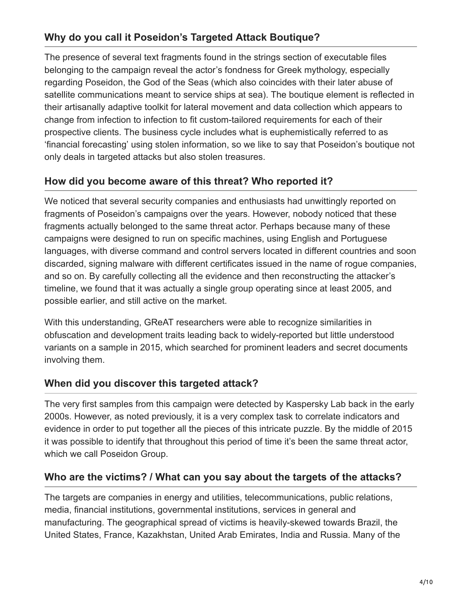#### **Why do you call it Poseidon's Targeted Attack Boutique?**

The presence of several text fragments found in the strings section of executable files belonging to the campaign reveal the actor's fondness for Greek mythology, especially regarding Poseidon, the God of the Seas (which also coincides with their later abuse of satellite communications meant to service ships at sea). The boutique element is reflected in their artisanally adaptive toolkit for lateral movement and data collection which appears to change from infection to infection to fit custom-tailored requirements for each of their prospective clients. The business cycle includes what is euphemistically referred to as 'financial forecasting' using stolen information, so we like to say that Poseidon's boutique not only deals in targeted attacks but also stolen treasures.

#### **How did you become aware of this threat? Who reported it?**

We noticed that several security companies and enthusiasts had unwittingly reported on fragments of Poseidon's campaigns over the years. However, nobody noticed that these fragments actually belonged to the same threat actor. Perhaps because many of these campaigns were designed to run on specific machines, using English and Portuguese languages, with diverse command and control servers located in different countries and soon discarded, signing malware with different certificates issued in the name of rogue companies, and so on. By carefully collecting all the evidence and then reconstructing the attacker's timeline, we found that it was actually a single group operating since at least 2005, and possible earlier, and still active on the market.

With this understanding, GReAT researchers were able to recognize similarities in obfuscation and development traits leading back to widely-reported but little understood variants on a sample in 2015, which searched for prominent leaders and secret documents involving them.

#### **When did you discover this targeted attack?**

The very first samples from this campaign were detected by Kaspersky Lab back in the early 2000s. However, as noted previously, it is a very complex task to correlate indicators and evidence in order to put together all the pieces of this intricate puzzle. By the middle of 2015 it was possible to identify that throughout this period of time it's been the same threat actor, which we call Poseidon Group.

#### **Who are the victims? / What can you say about the targets of the attacks?**

The targets are companies in energy and utilities, telecommunications, public relations, media, financial institutions, governmental institutions, services in general and manufacturing. The geographical spread of victims is heavily-skewed towards Brazil, the United States, France, Kazakhstan, United Arab Emirates, India and Russia. Many of the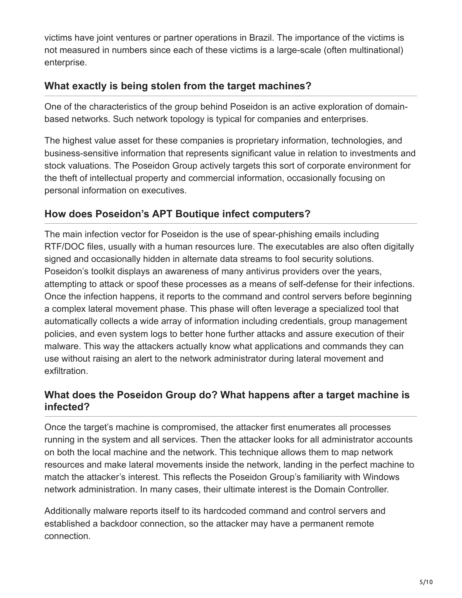victims have joint ventures or partner operations in Brazil. The importance of the victims is not measured in numbers since each of these victims is a large-scale (often multinational) enterprise.

#### **What exactly is being stolen from the target machines?**

One of the characteristics of the group behind Poseidon is an active exploration of domainbased networks. Such network topology is typical for companies and enterprises.

The highest value asset for these companies is proprietary information, technologies, and business-sensitive information that represents significant value in relation to investments and stock valuations. The Poseidon Group actively targets this sort of corporate environment for the theft of intellectual property and commercial information, occasionally focusing on personal information on executives.

#### **How does Poseidon's APT Boutique infect computers?**

The main infection vector for Poseidon is the use of spear-phishing emails including RTF/DOC files, usually with a human resources lure. The executables are also often digitally signed and occasionally hidden in alternate data streams to fool security solutions. Poseidon's toolkit displays an awareness of many antivirus providers over the years, attempting to attack or spoof these processes as a means of self-defense for their infections. Once the infection happens, it reports to the command and control servers before beginning a complex lateral movement phase. This phase will often leverage a specialized tool that automatically collects a wide array of information including credentials, group management policies, and even system logs to better hone further attacks and assure execution of their malware. This way the attackers actually know what applications and commands they can use without raising an alert to the network administrator during lateral movement and exfiltration.

#### **What does the Poseidon Group do? What happens after a target machine is infected?**

Once the target's machine is compromised, the attacker first enumerates all processes running in the system and all services. Then the attacker looks for all administrator accounts on both the local machine and the network. This technique allows them to map network resources and make lateral movements inside the network, landing in the perfect machine to match the attacker's interest. This reflects the Poseidon Group's familiarity with Windows network administration. In many cases, their ultimate interest is the Domain Controller.

Additionally malware reports itself to its hardcoded command and control servers and established a backdoor connection, so the attacker may have a permanent remote connection.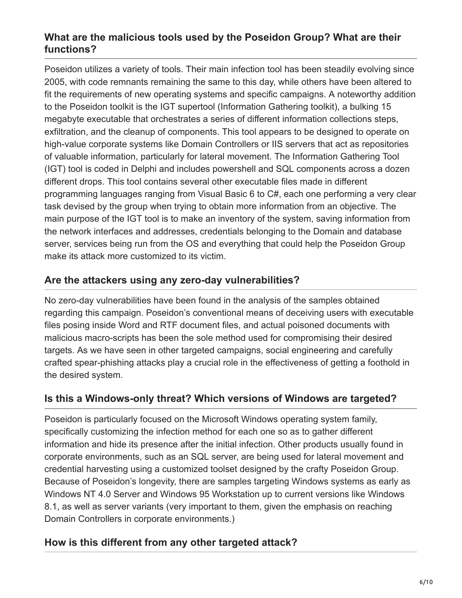#### **What are the malicious tools used by the Poseidon Group? What are their functions?**

Poseidon utilizes a variety of tools. Their main infection tool has been steadily evolving since 2005, with code remnants remaining the same to this day, while others have been altered to fit the requirements of new operating systems and specific campaigns. A noteworthy addition to the Poseidon toolkit is the IGT supertool (Information Gathering toolkit), a bulking 15 megabyte executable that orchestrates a series of different information collections steps, exfiltration, and the cleanup of components. This tool appears to be designed to operate on high-value corporate systems like Domain Controllers or IIS servers that act as repositories of valuable information, particularly for lateral movement. The Information Gathering Tool (IGT) tool is coded in Delphi and includes powershell and SQL components across a dozen different drops. This tool contains several other executable files made in different programming languages ranging from Visual Basic 6 to C#, each one performing a very clear task devised by the group when trying to obtain more information from an objective. The main purpose of the IGT tool is to make an inventory of the system, saving information from the network interfaces and addresses, credentials belonging to the Domain and database server, services being run from the OS and everything that could help the Poseidon Group make its attack more customized to its victim.

#### **Are the attackers using any zero-day vulnerabilities?**

No zero-day vulnerabilities have been found in the analysis of the samples obtained regarding this campaign. Poseidon's conventional means of deceiving users with executable files posing inside Word and RTF document files, and actual poisoned documents with malicious macro-scripts has been the sole method used for compromising their desired targets. As we have seen in other targeted campaigns, social engineering and carefully crafted spear-phishing attacks play a crucial role in the effectiveness of getting a foothold in the desired system.

#### **Is this a Windows-only threat? Which versions of Windows are targeted?**

Poseidon is particularly focused on the Microsoft Windows operating system family, specifically customizing the infection method for each one so as to gather different information and hide its presence after the initial infection. Other products usually found in corporate environments, such as an SQL server, are being used for lateral movement and credential harvesting using a customized toolset designed by the crafty Poseidon Group. Because of Poseidon's longevity, there are samples targeting Windows systems as early as Windows NT 4.0 Server and Windows 95 Workstation up to current versions like Windows 8.1, as well as server variants (very important to them, given the emphasis on reaching Domain Controllers in corporate environments.)

#### **How is this different from any other targeted attack?**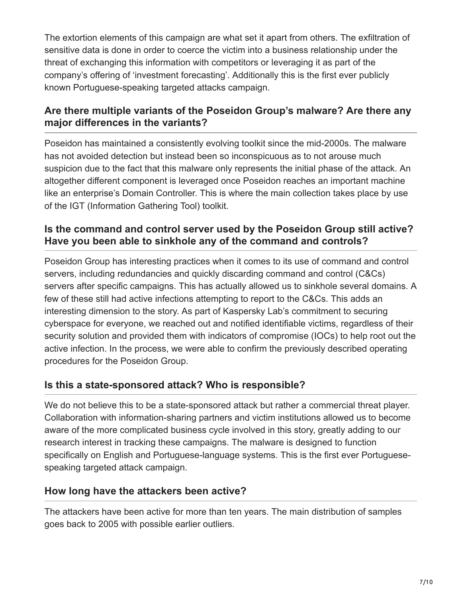The extortion elements of this campaign are what set it apart from others. The exfiltration of sensitive data is done in order to coerce the victim into a business relationship under the threat of exchanging this information with competitors or leveraging it as part of the company's offering of 'investment forecasting'. Additionally this is the first ever publicly known Portuguese-speaking targeted attacks campaign.

#### **Are there multiple variants of the Poseidon Group's malware? Are there any major differences in the variants?**

Poseidon has maintained a consistently evolving toolkit since the mid-2000s. The malware has not avoided detection but instead been so inconspicuous as to not arouse much suspicion due to the fact that this malware only represents the initial phase of the attack. An altogether different component is leveraged once Poseidon reaches an important machine like an enterprise's Domain Controller. This is where the main collection takes place by use of the IGT (Information Gathering Tool) toolkit.

#### **Is the command and control server used by the Poseidon Group still active? Have you been able to sinkhole any of the command and controls?**

Poseidon Group has interesting practices when it comes to its use of command and control servers, including redundancies and quickly discarding command and control (C&Cs) servers after specific campaigns. This has actually allowed us to sinkhole several domains. A few of these still had active infections attempting to report to the C&Cs. This adds an interesting dimension to the story. As part of Kaspersky Lab's commitment to securing cyberspace for everyone, we reached out and notified identifiable victims, regardless of their security solution and provided them with indicators of compromise (IOCs) to help root out the active infection. In the process, we were able to confirm the previously described operating procedures for the Poseidon Group.

#### **Is this a state-sponsored attack? Who is responsible?**

We do not believe this to be a state-sponsored attack but rather a commercial threat player. Collaboration with information-sharing partners and victim institutions allowed us to become aware of the more complicated business cycle involved in this story, greatly adding to our research interest in tracking these campaigns. The malware is designed to function specifically on English and Portuguese-language systems. This is the first ever Portuguesespeaking targeted attack campaign.

#### **How long have the attackers been active?**

The attackers have been active for more than ten years. The main distribution of samples goes back to 2005 with possible earlier outliers.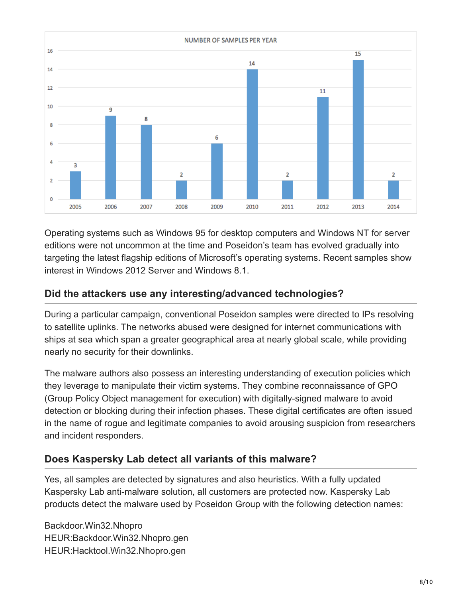

Operating systems such as Windows 95 for desktop computers and Windows NT for server editions were not uncommon at the time and Poseidon's team has evolved gradually into targeting the latest flagship editions of Microsoft's operating systems. Recent samples show interest in Windows 2012 Server and Windows 8.1.

#### **Did the attackers use any interesting/advanced technologies?**

During a particular campaign, conventional Poseidon samples were directed to IPs resolving to satellite uplinks. The networks abused were designed for internet communications with ships at sea which span a greater geographical area at nearly global scale, while providing nearly no security for their downlinks.

The malware authors also possess an interesting understanding of execution policies which they leverage to manipulate their victim systems. They combine reconnaissance of GPO (Group Policy Object management for execution) with digitally-signed malware to avoid detection or blocking during their infection phases. These digital certificates are often issued in the name of rogue and legitimate companies to avoid arousing suspicion from researchers and incident responders.

#### **Does Kaspersky Lab detect all variants of this malware?**

Yes, all samples are detected by signatures and also heuristics. With a fully updated Kaspersky Lab anti-malware solution, all customers are protected now. Kaspersky Lab products detect the malware used by Poseidon Group with the following detection names:

Backdoor.Win32.Nhopro HEUR:Backdoor.Win32.Nhopro.gen HEUR:Hacktool.Win32.Nhopro.gen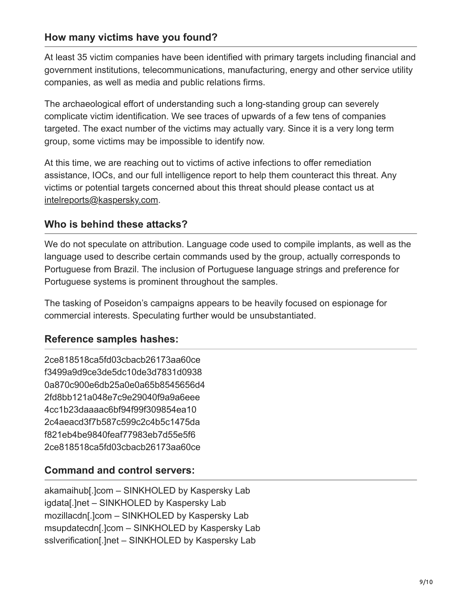#### **How many victims have you found?**

At least 35 victim companies have been identified with primary targets including financial and government institutions, telecommunications, manufacturing, energy and other service utility companies, as well as media and public relations firms.

The archaeological effort of understanding such a long-standing group can severely complicate victim identification. We see traces of upwards of a few tens of companies targeted. The exact number of the victims may actually vary. Since it is a very long term group, some victims may be impossible to identify now.

At this time, we are reaching out to victims of active infections to offer remediation assistance, IOCs, and our full intelligence report to help them counteract this threat. Any victims or potential targets concerned about this threat should please contact us at [intelreports@kaspersky.com.](http://10.10.0.46/mailto:///intelreports@kaspersky.com)

#### **Who is behind these attacks?**

We do not speculate on attribution. Language code used to compile implants, as well as the language used to describe certain commands used by the group, actually corresponds to Portuguese from Brazil. The inclusion of Portuguese language strings and preference for Portuguese systems is prominent throughout the samples.

The tasking of Poseidon's campaigns appears to be heavily focused on espionage for commercial interests. Speculating further would be unsubstantiated.

#### **Reference samples hashes:**

2ce818518ca5fd03cbacb26173aa60ce f3499a9d9ce3de5dc10de3d7831d0938 0a870c900e6db25a0e0a65b8545656d4 2fd8bb121a048e7c9e29040f9a9a6eee 4cc1b23daaaac6bf94f99f309854ea10 2c4aeacd3f7b587c599c2c4b5c1475da f821eb4be9840feaf77983eb7d55e5f6 2ce818518ca5fd03cbacb26173aa60ce

#### **Command and control servers:**

akamaihub[.]com – SINKHOLED by Kaspersky Lab igdata[.]net – SINKHOLED by Kaspersky Lab mozillacdn[.]com – SINKHOLED by Kaspersky Lab msupdatecdn[.]com – SINKHOLED by Kaspersky Lab sslverification[.]net - SINKHOLED by Kaspersky Lab